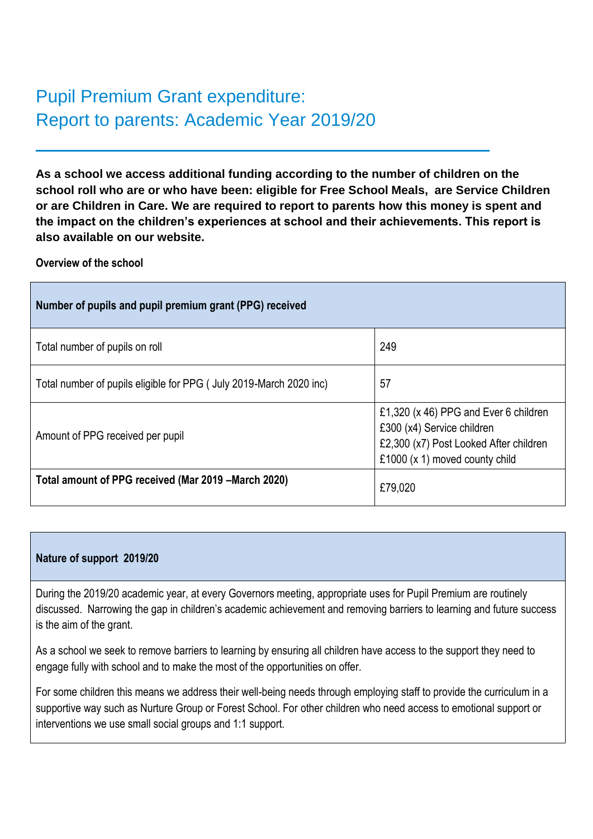# Pupil Premium Grant expenditure: Report to parents: Academic Year 2019/20

**As a school we access additional funding according to the number of children on the school roll who are or who have been: eligible for Free School Meals, are Service Children or are Children in Care. We are required to report to parents how this money is spent and the impact on the children's experiences at school and their achievements. This report is also available on our website.**

### **Overview of the school**

| Number of pupils and pupil premium grant (PPG) received            |                                                                                                                                                 |  |  |  |  |  |  |  |  |
|--------------------------------------------------------------------|-------------------------------------------------------------------------------------------------------------------------------------------------|--|--|--|--|--|--|--|--|
| Total number of pupils on roll                                     | 249                                                                                                                                             |  |  |  |  |  |  |  |  |
| Total number of pupils eligible for PPG (July 2019-March 2020 inc) | 57                                                                                                                                              |  |  |  |  |  |  |  |  |
| Amount of PPG received per pupil                                   | £1,320 (x 46) PPG and Ever 6 children<br>£300 (x4) Service children<br>£2,300 (x7) Post Looked After children<br>£1000 (x 1) moved county child |  |  |  |  |  |  |  |  |
| Total amount of PPG received (Mar 2019 – March 2020)               | £79,020                                                                                                                                         |  |  |  |  |  |  |  |  |

## **Nature of support 2019/20**

During the 2019/20 academic year, at every Governors meeting, appropriate uses for Pupil Premium are routinely discussed. Narrowing the gap in children's academic achievement and removing barriers to learning and future success is the aim of the grant.

As a school we seek to remove barriers to learning by ensuring all children have access to the support they need to engage fully with school and to make the most of the opportunities on offer.

For some children this means we address their well-being needs through employing staff to provide the curriculum in a supportive way such as Nurture Group or Forest School. For other children who need access to emotional support or interventions we use small social groups and 1:1 support.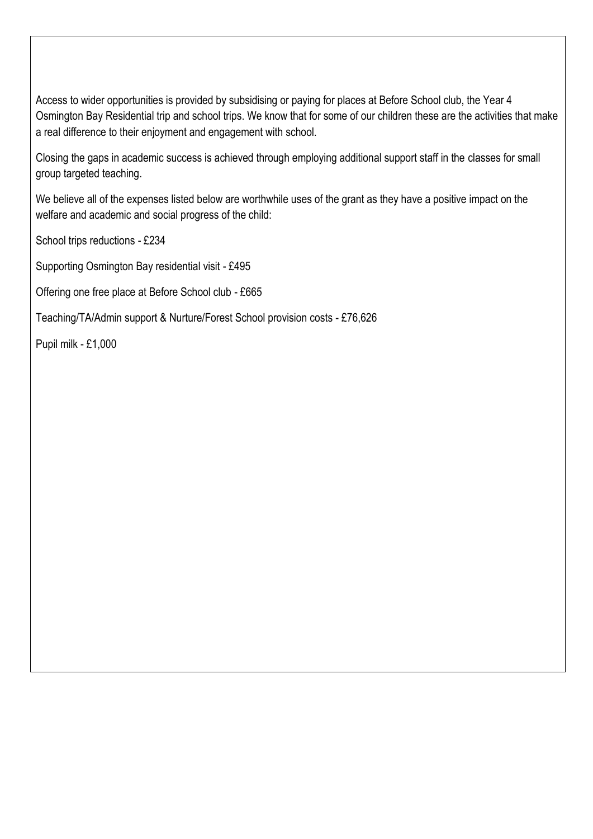Access to wider opportunities is provided by subsidising or paying for places at Before School club, the Year 4 Osmington Bay Residential trip and school trips. We know that for some of our children these are the activities that make a real difference to their enjoyment and engagement with school.

Closing the gaps in academic success is achieved through employing additional support staff in the classes for small group targeted teaching.

We believe all of the expenses listed below are worthwhile uses of the grant as they have a positive impact on the welfare and academic and social progress of the child:

School trips reductions - £234

Supporting Osmington Bay residential visit - £495

Offering one free place at Before School club - £665

Teaching/TA/Admin support & Nurture/Forest School provision costs - £76,626

Pupil milk - £1,000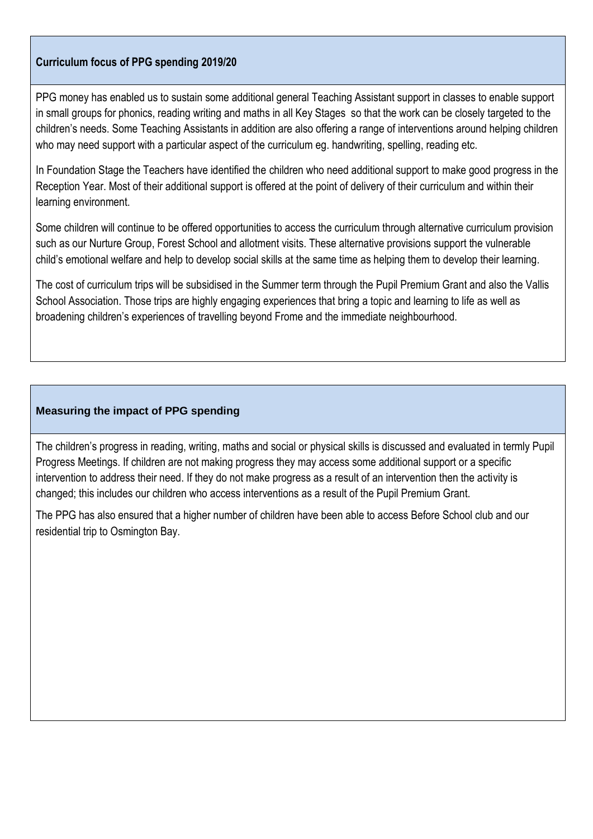# **Curriculum focus of PPG spending 2019/20**

PPG money has enabled us to sustain some additional general Teaching Assistant support in classes to enable support in small groups for phonics, reading writing and maths in all Key Stages so that the work can be closely targeted to the children's needs. Some Teaching Assistants in addition are also offering a range of interventions around helping children who may need support with a particular aspect of the curriculum eg. handwriting, spelling, reading etc.

In Foundation Stage the Teachers have identified the children who need additional support to make good progress in the Reception Year. Most of their additional support is offered at the point of delivery of their curriculum and within their learning environment.

Some children will continue to be offered opportunities to access the curriculum through alternative curriculum provision such as our Nurture Group, Forest School and allotment visits. These alternative provisions support the vulnerable child's emotional welfare and help to develop social skills at the same time as helping them to develop their learning.

The cost of curriculum trips will be subsidised in the Summer term through the Pupil Premium Grant and also the Vallis School Association. Those trips are highly engaging experiences that bring a topic and learning to life as well as broadening children's experiences of travelling beyond Frome and the immediate neighbourhood.

#### **Measuring the impact of PPG spending**

The children's progress in reading, writing, maths and social or physical skills is discussed and evaluated in termly Pupil Progress Meetings. If children are not making progress they may access some additional support or a specific intervention to address their need. If they do not make progress as a result of an intervention then the activity is changed; this includes our children who access interventions as a result of the Pupil Premium Grant.

The PPG has also ensured that a higher number of children have been able to access Before School club and our residential trip to Osmington Bay.